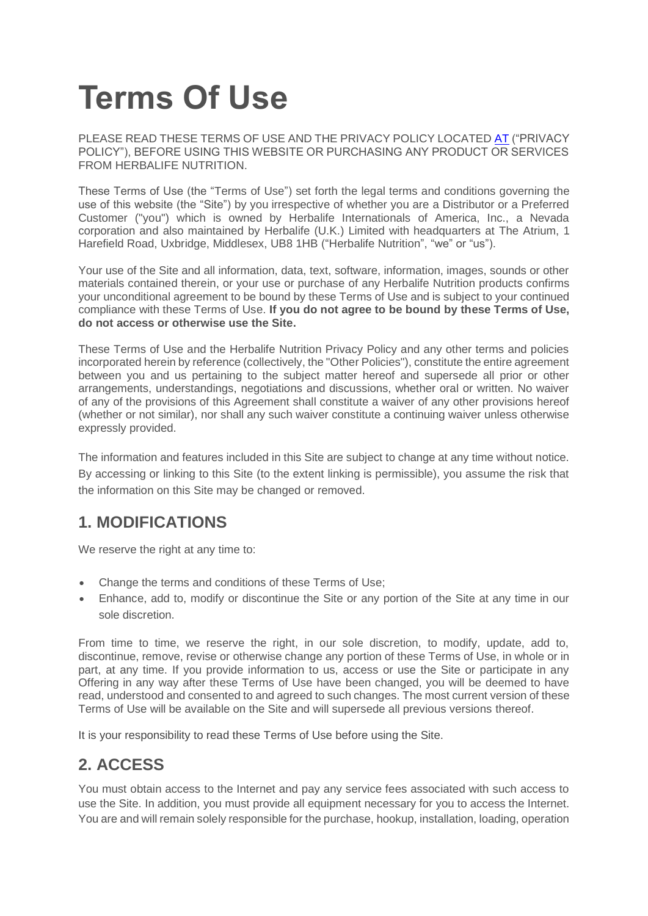# **Terms Of Use**

PLEASE READ THESE TERMS OF USE AND THE PRIVACY POLICY LOCATED [AT](https://www.myherbalife.com/en-IE/ed/ds/pages/Footer/privacy_policy.html) ("PRIVACY POLICY"), BEFORE USING THIS WEBSITE OR PURCHASING ANY PRODUCT OR SERVICES FROM HERBALIFE NUTRITION.

These Terms of Use (the "Terms of Use") set forth the legal terms and conditions governing the use of this website (the "Site") by you irrespective of whether you are a Distributor or a Preferred Customer ("you") which is owned by Herbalife Internationals of America, Inc., a Nevada corporation and also maintained by Herbalife (U.K.) Limited with headquarters at The Atrium, 1 Harefield Road, Uxbridge, Middlesex, UB8 1HB ("Herbalife Nutrition", "we" or "us").

Your use of the Site and all information, data, text, software, information, images, sounds or other materials contained therein, or your use or purchase of any Herbalife Nutrition products confirms your unconditional agreement to be bound by these Terms of Use and is subject to your continued compliance with these Terms of Use. **If you do not agree to be bound by these Terms of Use, do not access or otherwise use the Site.**

These Terms of Use and the Herbalife Nutrition Privacy Policy and any other terms and policies incorporated herein by reference (collectively, the "Other Policies"), constitute the entire agreement between you and us pertaining to the subject matter hereof and supersede all prior or other arrangements, understandings, negotiations and discussions, whether oral or written. No waiver of any of the provisions of this Agreement shall constitute a waiver of any other provisions hereof (whether or not similar), nor shall any such waiver constitute a continuing waiver unless otherwise expressly provided.

The information and features included in this Site are subject to change at any time without notice. By accessing or linking to this Site (to the extent linking is permissible), you assume the risk that the information on this Site may be changed or removed.

#### **1. MODIFICATIONS**

We reserve the right at any time to:

- Change the terms and conditions of these Terms of Use;
- Enhance, add to, modify or discontinue the Site or any portion of the Site at any time in our sole discretion.

From time to time, we reserve the right, in our sole discretion, to modify, update, add to, discontinue, remove, revise or otherwise change any portion of these Terms of Use, in whole or in part, at any time. If you provide information to us, access or use the Site or participate in any Offering in any way after these Terms of Use have been changed, you will be deemed to have read, understood and consented to and agreed to such changes. The most current version of these Terms of Use will be available on the Site and will supersede all previous versions thereof.

It is your responsibility to read these Terms of Use before using the Site.

# **2. ACCESS**

You must obtain access to the Internet and pay any service fees associated with such access to use the Site. In addition, you must provide all equipment necessary for you to access the Internet. You are and will remain solely responsible for the purchase, hookup, installation, loading, operation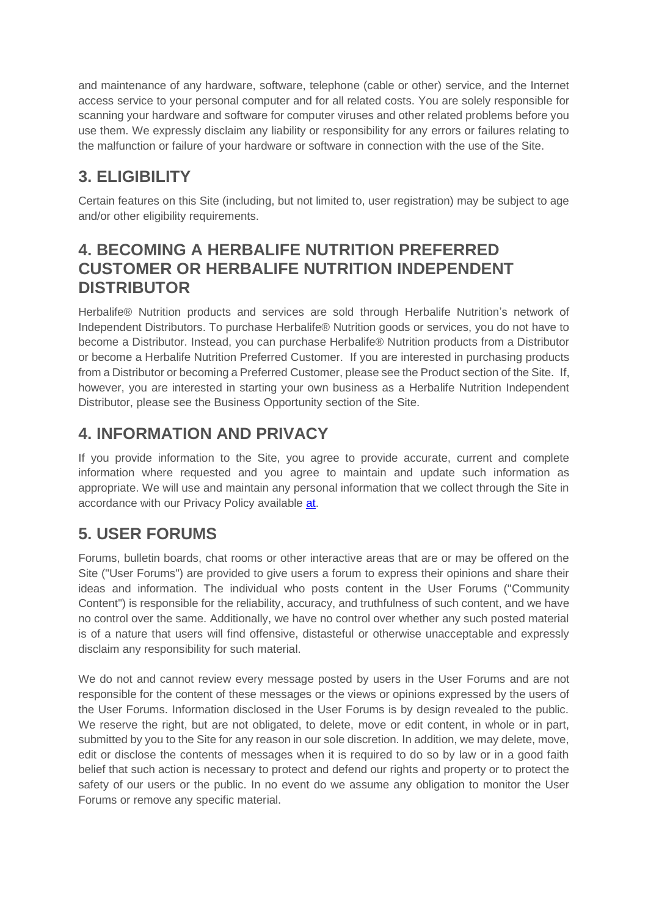and maintenance of any hardware, software, telephone (cable or other) service, and the Internet access service to your personal computer and for all related costs. You are solely responsible for scanning your hardware and software for computer viruses and other related problems before you use them. We expressly disclaim any liability or responsibility for any errors or failures relating to the malfunction or failure of your hardware or software in connection with the use of the Site.

# **3. ELIGIBILITY**

Certain features on this Site (including, but not limited to, user registration) may be subject to age and/or other eligibility requirements.

#### **4. BECOMING A HERBALIFE NUTRITION PREFERRED CUSTOMER OR HERBALIFE NUTRITION INDEPENDENT DISTRIBUTOR**

Herbalife® Nutrition products and services are sold through Herbalife Nutrition's network of Independent Distributors. To purchase Herbalife® Nutrition goods or services, you do not have to become a Distributor. Instead, you can purchase Herbalife® Nutrition products from a Distributor or become a Herbalife Nutrition Preferred Customer. If you are interested in purchasing products from a Distributor or becoming a Preferred Customer, please see the Product section of the Site. If, however, you are interested in starting your own business as a Herbalife Nutrition Independent Distributor, please see the Business Opportunity section of the Site.

# **4. INFORMATION AND PRIVACY**

If you provide information to the Site, you agree to provide accurate, current and complete information where requested and you agree to maintain and update such information as appropriate. We will use and maintain any personal information that we collect through the Site in accordance with our Privacy Policy available [at.](https://www.myherbalife.com/en-IE/ed/ds/pages/Footer/privacy_policy.html)

# **5. USER FORUMS**

Forums, bulletin boards, chat rooms or other interactive areas that are or may be offered on the Site ("User Forums") are provided to give users a forum to express their opinions and share their ideas and information. The individual who posts content in the User Forums ("Community Content") is responsible for the reliability, accuracy, and truthfulness of such content, and we have no control over the same. Additionally, we have no control over whether any such posted material is of a nature that users will find offensive, distasteful or otherwise unacceptable and expressly disclaim any responsibility for such material.

We do not and cannot review every message posted by users in the User Forums and are not responsible for the content of these messages or the views or opinions expressed by the users of the User Forums. Information disclosed in the User Forums is by design revealed to the public. We reserve the right, but are not obligated, to delete, move or edit content, in whole or in part, submitted by you to the Site for any reason in our sole discretion. In addition, we may delete, move, edit or disclose the contents of messages when it is required to do so by law or in a good faith belief that such action is necessary to protect and defend our rights and property or to protect the safety of our users or the public. In no event do we assume any obligation to monitor the User Forums or remove any specific material.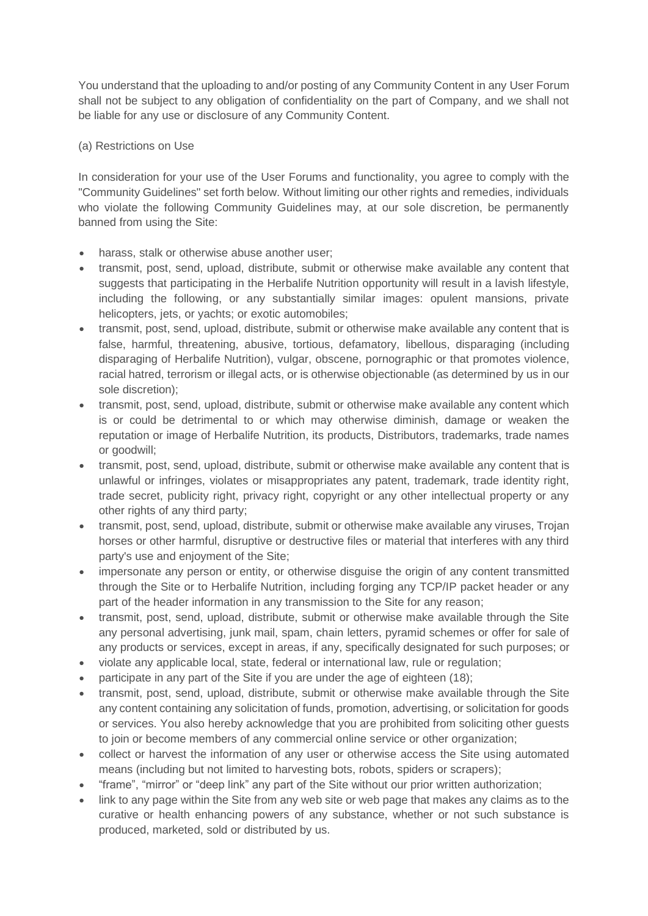You understand that the uploading to and/or posting of any Community Content in any User Forum shall not be subject to any obligation of confidentiality on the part of Company, and we shall not be liable for any use or disclosure of any Community Content.

#### (a) Restrictions on Use

In consideration for your use of the User Forums and functionality, you agree to comply with the "Community Guidelines" set forth below. Without limiting our other rights and remedies, individuals who violate the following Community Guidelines may, at our sole discretion, be permanently banned from using the Site:

- harass, stalk or otherwise abuse another user;
- transmit, post, send, upload, distribute, submit or otherwise make available any content that suggests that participating in the Herbalife Nutrition opportunity will result in a lavish lifestyle, including the following, or any substantially similar images: opulent mansions, private helicopters, jets, or yachts; or exotic automobiles;
- transmit, post, send, upload, distribute, submit or otherwise make available any content that is false, harmful, threatening, abusive, tortious, defamatory, libellous, disparaging (including disparaging of Herbalife Nutrition), vulgar, obscene, pornographic or that promotes violence, racial hatred, terrorism or illegal acts, or is otherwise objectionable (as determined by us in our sole discretion);
- transmit, post, send, upload, distribute, submit or otherwise make available any content which is or could be detrimental to or which may otherwise diminish, damage or weaken the reputation or image of Herbalife Nutrition, its products, Distributors, trademarks, trade names or goodwill;
- transmit, post, send, upload, distribute, submit or otherwise make available any content that is unlawful or infringes, violates or misappropriates any patent, trademark, trade identity right, trade secret, publicity right, privacy right, copyright or any other intellectual property or any other rights of any third party;
- transmit, post, send, upload, distribute, submit or otherwise make available any viruses, Trojan horses or other harmful, disruptive or destructive files or material that interferes with any third party's use and enjoyment of the Site;
- impersonate any person or entity, or otherwise disquise the origin of any content transmitted through the Site or to Herbalife Nutrition, including forging any TCP/IP packet header or any part of the header information in any transmission to the Site for any reason;
- transmit, post, send, upload, distribute, submit or otherwise make available through the Site any personal advertising, junk mail, spam, chain letters, pyramid schemes or offer for sale of any products or services, except in areas, if any, specifically designated for such purposes; or
- violate any applicable local, state, federal or international law, rule or regulation;
- participate in any part of the Site if you are under the age of eighteen (18);
- transmit, post, send, upload, distribute, submit or otherwise make available through the Site any content containing any solicitation of funds, promotion, advertising, or solicitation for goods or services. You also hereby acknowledge that you are prohibited from soliciting other guests to join or become members of any commercial online service or other organization;
- collect or harvest the information of any user or otherwise access the Site using automated means (including but not limited to harvesting bots, robots, spiders or scrapers);
- "frame", "mirror" or "deep link" any part of the Site without our prior written authorization;
- link to any page within the Site from any web site or web page that makes any claims as to the curative or health enhancing powers of any substance, whether or not such substance is produced, marketed, sold or distributed by us.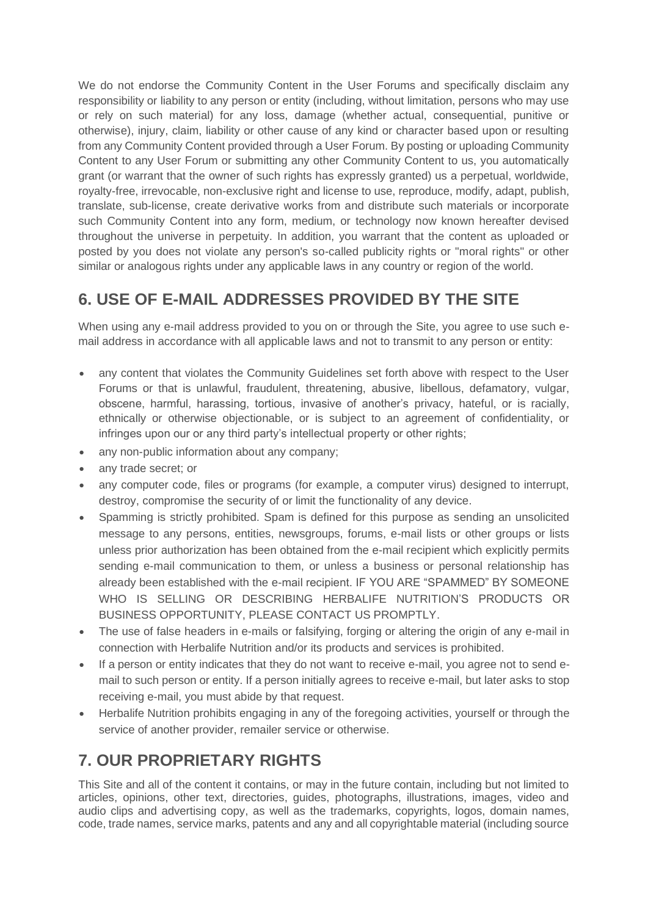We do not endorse the Community Content in the User Forums and specifically disclaim any responsibility or liability to any person or entity (including, without limitation, persons who may use or rely on such material) for any loss, damage (whether actual, consequential, punitive or otherwise), injury, claim, liability or other cause of any kind or character based upon or resulting from any Community Content provided through a User Forum. By posting or uploading Community Content to any User Forum or submitting any other Community Content to us, you automatically grant (or warrant that the owner of such rights has expressly granted) us a perpetual, worldwide, royalty-free, irrevocable, non-exclusive right and license to use, reproduce, modify, adapt, publish, translate, sub-license, create derivative works from and distribute such materials or incorporate such Community Content into any form, medium, or technology now known hereafter devised throughout the universe in perpetuity. In addition, you warrant that the content as uploaded or posted by you does not violate any person's so-called publicity rights or "moral rights" or other similar or analogous rights under any applicable laws in any country or region of the world.

# **6. USE OF E-MAIL ADDRESSES PROVIDED BY THE SITE**

When using any e-mail address provided to you on or through the Site, you agree to use such email address in accordance with all applicable laws and not to transmit to any person or entity:

- any content that violates the Community Guidelines set forth above with respect to the User Forums or that is unlawful, fraudulent, threatening, abusive, libellous, defamatory, vulgar, obscene, harmful, harassing, tortious, invasive of another's privacy, hateful, or is racially, ethnically or otherwise objectionable, or is subject to an agreement of confidentiality, or infringes upon our or any third party's intellectual property or other rights;
- any non-public information about any company;
- any trade secret; or
- any computer code, files or programs (for example, a computer virus) designed to interrupt, destroy, compromise the security of or limit the functionality of any device.
- Spamming is strictly prohibited. Spam is defined for this purpose as sending an unsolicited message to any persons, entities, newsgroups, forums, e-mail lists or other groups or lists unless prior authorization has been obtained from the e-mail recipient which explicitly permits sending e-mail communication to them, or unless a business or personal relationship has already been established with the e-mail recipient. IF YOU ARE "SPAMMED" BY SOMEONE WHO IS SELLING OR DESCRIBING HERBALIFE NUTRITION'S PRODUCTS OR BUSINESS OPPORTUNITY, PLEASE CONTACT US PROMPTLY.
- The use of false headers in e-mails or falsifying, forging or altering the origin of any e-mail in connection with Herbalife Nutrition and/or its products and services is prohibited.
- If a person or entity indicates that they do not want to receive e-mail, you agree not to send email to such person or entity. If a person initially agrees to receive e-mail, but later asks to stop receiving e-mail, you must abide by that request.
- Herbalife Nutrition prohibits engaging in any of the foregoing activities, yourself or through the service of another provider, remailer service or otherwise.

# **7. OUR PROPRIETARY RIGHTS**

This Site and all of the content it contains, or may in the future contain, including but not limited to articles, opinions, other text, directories, guides, photographs, illustrations, images, video and audio clips and advertising copy, as well as the trademarks, copyrights, logos, domain names, code, trade names, service marks, patents and any and all copyrightable material (including source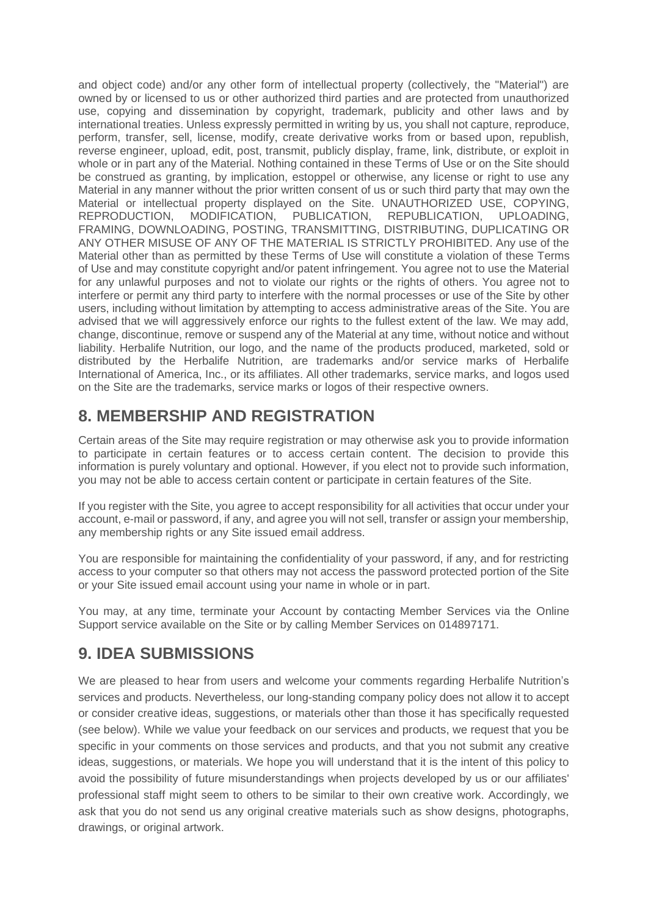and object code) and/or any other form of intellectual property (collectively, the "Material") are owned by or licensed to us or other authorized third parties and are protected from unauthorized use, copying and dissemination by copyright, trademark, publicity and other laws and by international treaties. Unless expressly permitted in writing by us, you shall not capture, reproduce, perform, transfer, sell, license, modify, create derivative works from or based upon, republish, reverse engineer, upload, edit, post, transmit, publicly display, frame, link, distribute, or exploit in whole or in part any of the Material. Nothing contained in these Terms of Use or on the Site should be construed as granting, by implication, estoppel or otherwise, any license or right to use any Material in any manner without the prior written consent of us or such third party that may own the Material or intellectual property displayed on the Site. UNAUTHORIZED USE, COPYING, REPRODUCTION, MODIFICATION, PUBLICATION, REPUBLICATION, UPLOADING, FRAMING, DOWNLOADING, POSTING, TRANSMITTING, DISTRIBUTING, DUPLICATING OR ANY OTHER MISUSE OF ANY OF THE MATERIAL IS STRICTLY PROHIBITED. Any use of the Material other than as permitted by these Terms of Use will constitute a violation of these Terms of Use and may constitute copyright and/or patent infringement. You agree not to use the Material for any unlawful purposes and not to violate our rights or the rights of others. You agree not to interfere or permit any third party to interfere with the normal processes or use of the Site by other users, including without limitation by attempting to access administrative areas of the Site. You are advised that we will aggressively enforce our rights to the fullest extent of the law. We may add, change, discontinue, remove or suspend any of the Material at any time, without notice and without liability. Herbalife Nutrition, our logo, and the name of the products produced, marketed, sold or distributed by the Herbalife Nutrition, are trademarks and/or service marks of Herbalife International of America, Inc., or its affiliates. All other trademarks, service marks, and logos used on the Site are the trademarks, service marks or logos of their respective owners.

#### **8. MEMBERSHIP AND REGISTRATION**

Certain areas of the Site may require registration or may otherwise ask you to provide information to participate in certain features or to access certain content. The decision to provide this information is purely voluntary and optional. However, if you elect not to provide such information, you may not be able to access certain content or participate in certain features of the Site.

If you register with the Site, you agree to accept responsibility for all activities that occur under your account, e-mail or password, if any, and agree you will not sell, transfer or assign your membership, any membership rights or any Site issued email address.

You are responsible for maintaining the confidentiality of your password, if any, and for restricting access to your computer so that others may not access the password protected portion of the Site or your Site issued email account using your name in whole or in part.

You may, at any time, terminate your Account by contacting Member Services via the Online Support service available on the Site or by calling Member Services on 014897171.

# **9. IDEA SUBMISSIONS**

We are pleased to hear from users and welcome your comments regarding Herbalife Nutrition's services and products. Nevertheless, our long-standing company policy does not allow it to accept or consider creative ideas, suggestions, or materials other than those it has specifically requested (see below). While we value your feedback on our services and products, we request that you be specific in your comments on those services and products, and that you not submit any creative ideas, suggestions, or materials. We hope you will understand that it is the intent of this policy to avoid the possibility of future misunderstandings when projects developed by us or our affiliates' professional staff might seem to others to be similar to their own creative work. Accordingly, we ask that you do not send us any original creative materials such as show designs, photographs, drawings, or original artwork.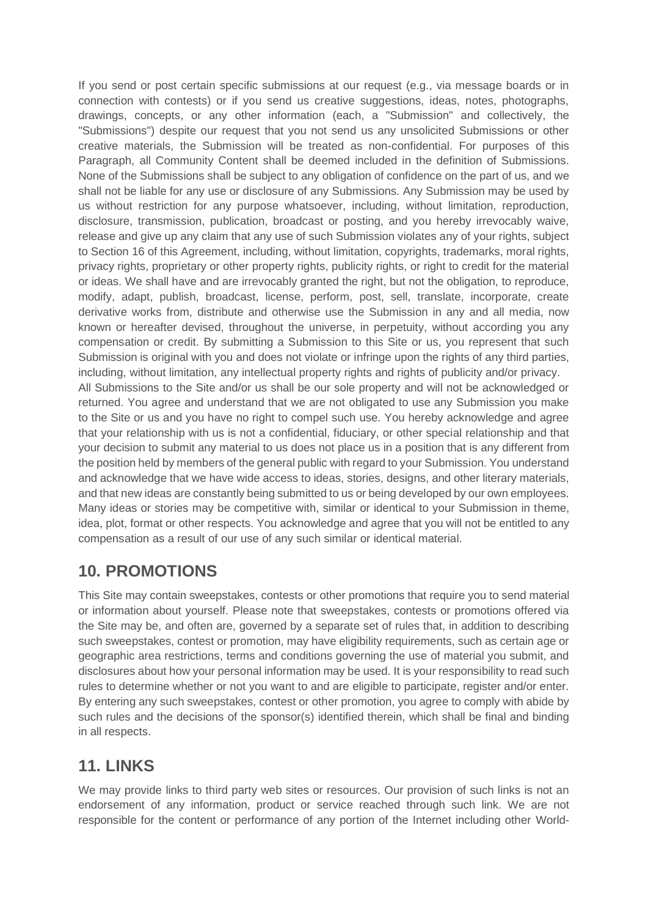If you send or post certain specific submissions at our request (e.g., via message boards or in connection with contests) or if you send us creative suggestions, ideas, notes, photographs, drawings, concepts, or any other information (each, a "Submission" and collectively, the "Submissions") despite our request that you not send us any unsolicited Submissions or other creative materials, the Submission will be treated as non-confidential. For purposes of this Paragraph, all Community Content shall be deemed included in the definition of Submissions. None of the Submissions shall be subject to any obligation of confidence on the part of us, and we shall not be liable for any use or disclosure of any Submissions. Any Submission may be used by us without restriction for any purpose whatsoever, including, without limitation, reproduction, disclosure, transmission, publication, broadcast or posting, and you hereby irrevocably waive, release and give up any claim that any use of such Submission violates any of your rights, subject to Section 16 of this Agreement, including, without limitation, copyrights, trademarks, moral rights, privacy rights, proprietary or other property rights, publicity rights, or right to credit for the material or ideas. We shall have and are irrevocably granted the right, but not the obligation, to reproduce, modify, adapt, publish, broadcast, license, perform, post, sell, translate, incorporate, create derivative works from, distribute and otherwise use the Submission in any and all media, now known or hereafter devised, throughout the universe, in perpetuity, without according you any compensation or credit. By submitting a Submission to this Site or us, you represent that such Submission is original with you and does not violate or infringe upon the rights of any third parties, including, without limitation, any intellectual property rights and rights of publicity and/or privacy. All Submissions to the Site and/or us shall be our sole property and will not be acknowledged or returned. You agree and understand that we are not obligated to use any Submission you make to the Site or us and you have no right to compel such use. You hereby acknowledge and agree that your relationship with us is not a confidential, fiduciary, or other special relationship and that your decision to submit any material to us does not place us in a position that is any different from

the position held by members of the general public with regard to your Submission. You understand and acknowledge that we have wide access to ideas, stories, designs, and other literary materials, and that new ideas are constantly being submitted to us or being developed by our own employees. Many ideas or stories may be competitive with, similar or identical to your Submission in theme, idea, plot, format or other respects. You acknowledge and agree that you will not be entitled to any compensation as a result of our use of any such similar or identical material.

#### **10. PROMOTIONS**

This Site may contain sweepstakes, contests or other promotions that require you to send material or information about yourself. Please note that sweepstakes, contests or promotions offered via the Site may be, and often are, governed by a separate set of rules that, in addition to describing such sweepstakes, contest or promotion, may have eligibility requirements, such as certain age or geographic area restrictions, terms and conditions governing the use of material you submit, and disclosures about how your personal information may be used. It is your responsibility to read such rules to determine whether or not you want to and are eligible to participate, register and/or enter. By entering any such sweepstakes, contest or other promotion, you agree to comply with abide by such rules and the decisions of the sponsor(s) identified therein, which shall be final and binding in all respects.

#### **11. LINKS**

We may provide links to third party web sites or resources. Our provision of such links is not an endorsement of any information, product or service reached through such link. We are not responsible for the content or performance of any portion of the Internet including other World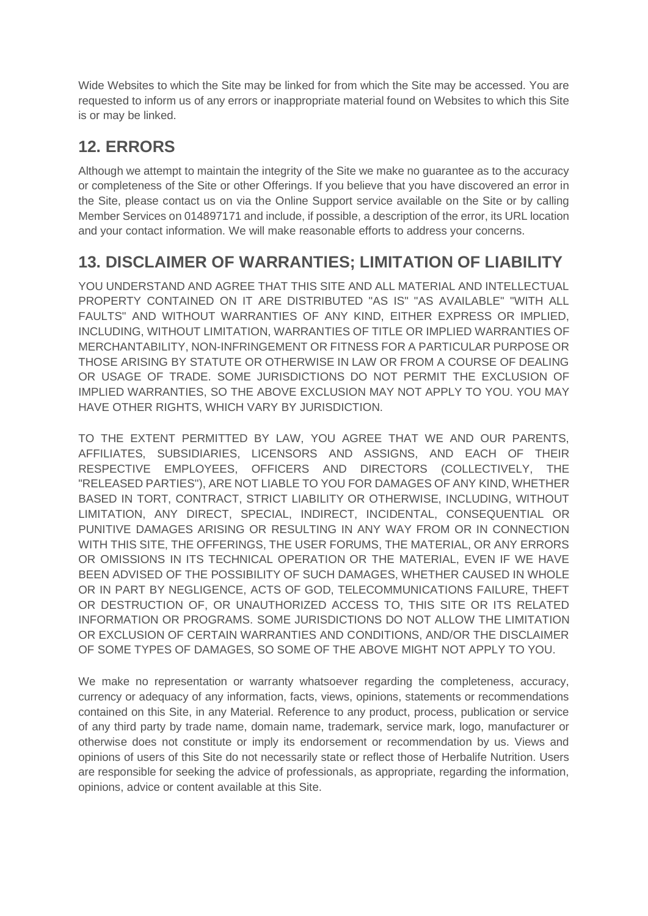Wide Websites to which the Site may be linked for from which the Site may be accessed. You are requested to inform us of any errors or inappropriate material found on Websites to which this Site is or may be linked.

# **12. ERRORS**

Although we attempt to maintain the integrity of the Site we make no guarantee as to the accuracy or completeness of the Site or other Offerings. If you believe that you have discovered an error in the Site, please contact us on via the Online Support service available on the Site or by calling Member Services on 014897171 and include, if possible, a description of the error, its URL location and your contact information. We will make reasonable efforts to address your concerns.

# **13. DISCLAIMER OF WARRANTIES; LIMITATION OF LIABILITY**

YOU UNDERSTAND AND AGREE THAT THIS SITE AND ALL MATERIAL AND INTELLECTUAL PROPERTY CONTAINED ON IT ARE DISTRIBUTED "AS IS" "AS AVAILABLE" "WITH ALL FAULTS" AND WITHOUT WARRANTIES OF ANY KIND, EITHER EXPRESS OR IMPLIED, INCLUDING, WITHOUT LIMITATION, WARRANTIES OF TITLE OR IMPLIED WARRANTIES OF MERCHANTABILITY, NON-INFRINGEMENT OR FITNESS FOR A PARTICULAR PURPOSE OR THOSE ARISING BY STATUTE OR OTHERWISE IN LAW OR FROM A COURSE OF DEALING OR USAGE OF TRADE. SOME JURISDICTIONS DO NOT PERMIT THE EXCLUSION OF IMPLIED WARRANTIES, SO THE ABOVE EXCLUSION MAY NOT APPLY TO YOU. YOU MAY HAVE OTHER RIGHTS, WHICH VARY BY JURISDICTION.

TO THE EXTENT PERMITTED BY LAW, YOU AGREE THAT WE AND OUR PARENTS, AFFILIATES, SUBSIDIARIES, LICENSORS AND ASSIGNS, AND EACH OF THEIR RESPECTIVE EMPLOYEES, OFFICERS AND DIRECTORS (COLLECTIVELY, THE "RELEASED PARTIES"), ARE NOT LIABLE TO YOU FOR DAMAGES OF ANY KIND, WHETHER BASED IN TORT, CONTRACT, STRICT LIABILITY OR OTHERWISE, INCLUDING, WITHOUT LIMITATION, ANY DIRECT, SPECIAL, INDIRECT, INCIDENTAL, CONSEQUENTIAL OR PUNITIVE DAMAGES ARISING OR RESULTING IN ANY WAY FROM OR IN CONNECTION WITH THIS SITE, THE OFFERINGS, THE USER FORUMS, THE MATERIAL, OR ANY ERRORS OR OMISSIONS IN ITS TECHNICAL OPERATION OR THE MATERIAL, EVEN IF WE HAVE BEEN ADVISED OF THE POSSIBILITY OF SUCH DAMAGES, WHETHER CAUSED IN WHOLE OR IN PART BY NEGLIGENCE, ACTS OF GOD, TELECOMMUNICATIONS FAILURE, THEFT OR DESTRUCTION OF, OR UNAUTHORIZED ACCESS TO, THIS SITE OR ITS RELATED INFORMATION OR PROGRAMS. SOME JURISDICTIONS DO NOT ALLOW THE LIMITATION OR EXCLUSION OF CERTAIN WARRANTIES AND CONDITIONS, AND/OR THE DISCLAIMER OF SOME TYPES OF DAMAGES, SO SOME OF THE ABOVE MIGHT NOT APPLY TO YOU.

We make no representation or warranty whatsoever regarding the completeness, accuracy, currency or adequacy of any information, facts, views, opinions, statements or recommendations contained on this Site, in any Material. Reference to any product, process, publication or service of any third party by trade name, domain name, trademark, service mark, logo, manufacturer or otherwise does not constitute or imply its endorsement or recommendation by us. Views and opinions of users of this Site do not necessarily state or reflect those of Herbalife Nutrition. Users are responsible for seeking the advice of professionals, as appropriate, regarding the information, opinions, advice or content available at this Site.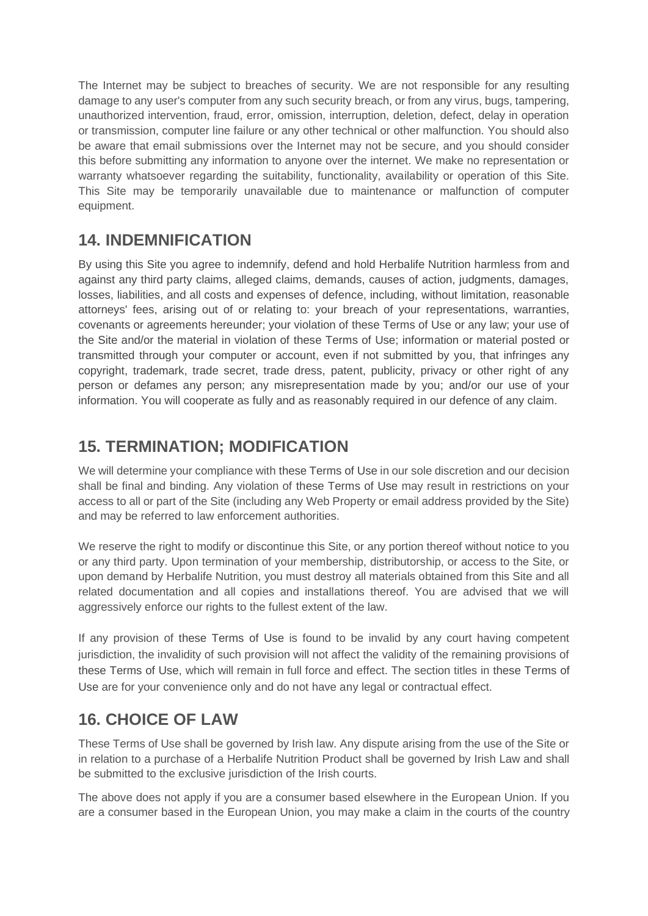The Internet may be subject to breaches of security. We are not responsible for any resulting damage to any user's computer from any such security breach, or from any virus, bugs, tampering, unauthorized intervention, fraud, error, omission, interruption, deletion, defect, delay in operation or transmission, computer line failure or any other technical or other malfunction. You should also be aware that email submissions over the Internet may not be secure, and you should consider this before submitting any information to anyone over the internet. We make no representation or warranty whatsoever regarding the suitability, functionality, availability or operation of this Site. This Site may be temporarily unavailable due to maintenance or malfunction of computer equipment.

#### **14. INDEMNIFICATION**

By using this Site you agree to indemnify, defend and hold Herbalife Nutrition harmless from and against any third party claims, alleged claims, demands, causes of action, judgments, damages, losses, liabilities, and all costs and expenses of defence, including, without limitation, reasonable attorneys' fees, arising out of or relating to: your breach of your representations, warranties, covenants or agreements hereunder; your violation of these Terms of Use or any law; your use of the Site and/or the material in violation of these Terms of Use; information or material posted or transmitted through your computer or account, even if not submitted by you, that infringes any copyright, trademark, trade secret, trade dress, patent, publicity, privacy or other right of any person or defames any person; any misrepresentation made by you; and/or our use of your information. You will cooperate as fully and as reasonably required in our defence of any claim.

### **15. TERMINATION; MODIFICATION**

We will determine your compliance with these Terms of Use in our sole discretion and our decision shall be final and binding. Any violation of these Terms of Use may result in restrictions on your access to all or part of the Site (including any Web Property or email address provided by the Site) and may be referred to law enforcement authorities.

We reserve the right to modify or discontinue this Site, or any portion thereof without notice to you or any third party. Upon termination of your membership, distributorship, or access to the Site, or upon demand by Herbalife Nutrition, you must destroy all materials obtained from this Site and all related documentation and all copies and installations thereof. You are advised that we will aggressively enforce our rights to the fullest extent of the law.

If any provision of these Terms of Use is found to be invalid by any court having competent jurisdiction, the invalidity of such provision will not affect the validity of the remaining provisions of these Terms of Use, which will remain in full force and effect. The section titles in these Terms of Use are for your convenience only and do not have any legal or contractual effect.

# **16. CHOICE OF LAW**

These Terms of Use shall be governed by Irish law. Any dispute arising from the use of the Site or in relation to a purchase of a Herbalife Nutrition Product shall be governed by Irish Law and shall be submitted to the exclusive jurisdiction of the Irish courts.

The above does not apply if you are a consumer based elsewhere in the European Union. If you are a consumer based in the European Union, you may make a claim in the courts of the country